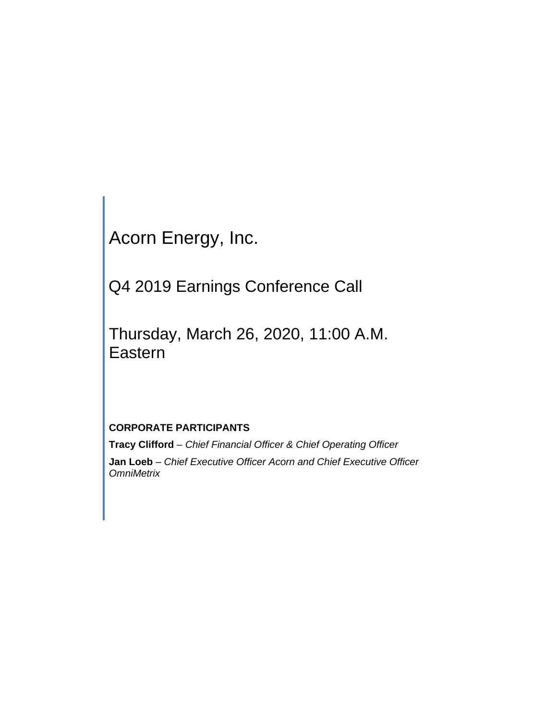Acorn Energy, Inc.

Q4 2019 Earnings Conference Call

Thursday, March 26, 2020, 11:00 A.M. Eastern

# **CORPORATE PARTICIPANTS**

**Tracy Clifford** *– Chief Financial Officer & Chief Operating Officer* **Jan Loeb** *– Chief Executive Officer Acorn and Chief Executive Officer OmniMetrix*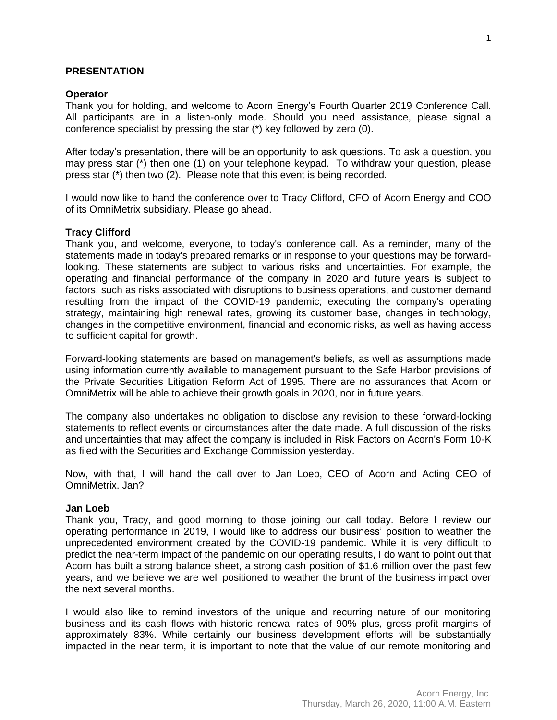### **PRESENTATION**

### **Operator**

Thank you for holding, and welcome to Acorn Energy's Fourth Quarter 2019 Conference Call. All participants are in a listen-only mode. Should you need assistance, please signal a conference specialist by pressing the star (\*) key followed by zero (0).

After today's presentation, there will be an opportunity to ask questions. To ask a question, you may press star (\*) then one (1) on your telephone keypad. To withdraw your question, please press star (\*) then two (2). Please note that this event is being recorded.

I would now like to hand the conference over to Tracy Clifford, CFO of Acorn Energy and COO of its OmniMetrix subsidiary. Please go ahead.

### **Tracy Clifford**

Thank you, and welcome, everyone, to today's conference call. As a reminder, many of the statements made in today's prepared remarks or in response to your questions may be forwardlooking. These statements are subject to various risks and uncertainties. For example, the operating and financial performance of the company in 2020 and future years is subject to factors, such as risks associated with disruptions to business operations, and customer demand resulting from the impact of the COVID-19 pandemic; executing the company's operating strategy, maintaining high renewal rates, growing its customer base, changes in technology, changes in the competitive environment, financial and economic risks, as well as having access to sufficient capital for growth.

Forward-looking statements are based on management's beliefs, as well as assumptions made using information currently available to management pursuant to the Safe Harbor provisions of the Private Securities Litigation Reform Act of 1995. There are no assurances that Acorn or OmniMetrix will be able to achieve their growth goals in 2020, nor in future years.

The company also undertakes no obligation to disclose any revision to these forward-looking statements to reflect events or circumstances after the date made. A full discussion of the risks and uncertainties that may affect the company is included in Risk Factors on Acorn's Form 10-K as filed with the Securities and Exchange Commission yesterday.

Now, with that, I will hand the call over to Jan Loeb, CEO of Acorn and Acting CEO of OmniMetrix. Jan?

### **Jan Loeb**

Thank you, Tracy, and good morning to those joining our call today. Before I review our operating performance in 2019, I would like to address our business' position to weather the unprecedented environment created by the COVID-19 pandemic. While it is very difficult to predict the near-term impact of the pandemic on our operating results, I do want to point out that Acorn has built a strong balance sheet, a strong cash position of \$1.6 million over the past few years, and we believe we are well positioned to weather the brunt of the business impact over the next several months.

I would also like to remind investors of the unique and recurring nature of our monitoring business and its cash flows with historic renewal rates of 90% plus, gross profit margins of approximately 83%. While certainly our business development efforts will be substantially impacted in the near term, it is important to note that the value of our remote monitoring and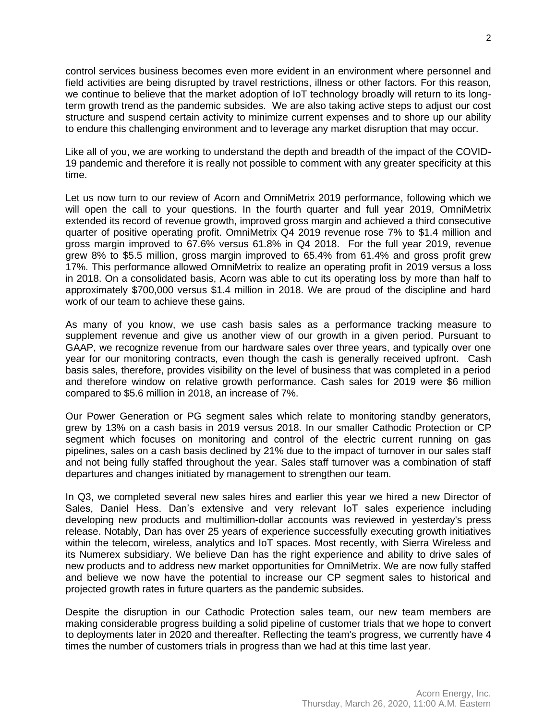control services business becomes even more evident in an environment where personnel and field activities are being disrupted by travel restrictions, illness or other factors. For this reason, we continue to believe that the market adoption of IoT technology broadly will return to its longterm growth trend as the pandemic subsides. We are also taking active steps to adjust our cost structure and suspend certain activity to minimize current expenses and to shore up our ability to endure this challenging environment and to leverage any market disruption that may occur.

Like all of you, we are working to understand the depth and breadth of the impact of the COVID-19 pandemic and therefore it is really not possible to comment with any greater specificity at this time.

Let us now turn to our review of Acorn and OmniMetrix 2019 performance, following which we will open the call to your questions. In the fourth quarter and full year 2019, OmniMetrix extended its record of revenue growth, improved gross margin and achieved a third consecutive quarter of positive operating profit. OmniMetrix Q4 2019 revenue rose 7% to \$1.4 million and gross margin improved to 67.6% versus 61.8% in Q4 2018. For the full year 2019, revenue grew 8% to \$5.5 million, gross margin improved to 65.4% from 61.4% and gross profit grew 17%. This performance allowed OmniMetrix to realize an operating profit in 2019 versus a loss in 2018. On a consolidated basis, Acorn was able to cut its operating loss by more than half to approximately \$700,000 versus \$1.4 million in 2018. We are proud of the discipline and hard work of our team to achieve these gains.

As many of you know, we use cash basis sales as a performance tracking measure to supplement revenue and give us another view of our growth in a given period. Pursuant to GAAP, we recognize revenue from our hardware sales over three years, and typically over one year for our monitoring contracts, even though the cash is generally received upfront. Cash basis sales, therefore, provides visibility on the level of business that was completed in a period and therefore window on relative growth performance. Cash sales for 2019 were \$6 million compared to \$5.6 million in 2018, an increase of 7%.

Our Power Generation or PG segment sales which relate to monitoring standby generators, grew by 13% on a cash basis in 2019 versus 2018. In our smaller Cathodic Protection or CP segment which focuses on monitoring and control of the electric current running on gas pipelines, sales on a cash basis declined by 21% due to the impact of turnover in our sales staff and not being fully staffed throughout the year. Sales staff turnover was a combination of staff departures and changes initiated by management to strengthen our team.

In Q3, we completed several new sales hires and earlier this year we hired a new Director of Sales, Daniel Hess. Dan's extensive and very relevant IoT sales experience including developing new products and multimillion-dollar accounts was reviewed in yesterday's press release. Notably, Dan has over 25 years of experience successfully executing growth initiatives within the telecom, wireless, analytics and IoT spaces. Most recently, with Sierra Wireless and its Numerex subsidiary. We believe Dan has the right experience and ability to drive sales of new products and to address new market opportunities for OmniMetrix. We are now fully staffed and believe we now have the potential to increase our CP segment sales to historical and projected growth rates in future quarters as the pandemic subsides.

Despite the disruption in our Cathodic Protection sales team, our new team members are making considerable progress building a solid pipeline of customer trials that we hope to convert to deployments later in 2020 and thereafter. Reflecting the team's progress, we currently have 4 times the number of customers trials in progress than we had at this time last year.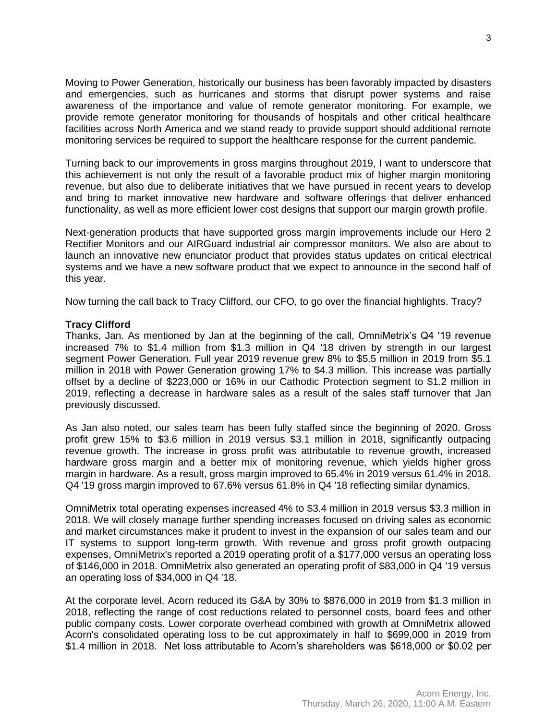Moving to Power Generation, historically our business has been favorably impacted by disasters and emergencies, such as hurricanes and storms that disrupt power systems and raise awareness of the importance and value of remote generator monitoring. For example, we provide remote generator monitoring for thousands of hospitals and other critical healthcare facilities across North America and we stand ready to provide support should additional remote monitoring services be required to support the healthcare response for the current pandemic.

Turning back to our improvements in gross margins throughout 2019, I want to underscore that this achievement is not only the result of a favorable product mix of higher margin monitoring revenue, but also due to deliberate initiatives that we have pursued in recent years to develop and bring to market innovative new hardware and software offerings that deliver enhanced functionality, as well as more efficient lower cost designs that support our margin growth profile.

Next-generation products that have supported gross margin improvements include our Hero 2 Rectifier Monitors and our AIRGuard industrial air compressor monitors. We also are about to launch an innovative new enunciator product that provides status updates on critical electrical systems and we have a new software product that we expect to announce in the second half of this year.

Now turning the call back to Tracy Clifford, our CFO, to go over the financial highlights. Tracy?

# **Tracy Clifford**

Thanks, Jan. As mentioned by Jan at the beginning of the call, OmniMetrix's Q4 '19 revenue increased 7% to \$1.4 million from \$1.3 million in Q4 '18 driven by strength in our largest segment Power Generation. Full year 2019 revenue grew 8% to \$5.5 million in 2019 from \$5.1 million in 2018 with Power Generation growing 17% to \$4.3 million. This increase was partially offset by a decline of \$223,000 or 16% in our Cathodic Protection segment to \$1.2 million in 2019, reflecting a decrease in hardware sales as a result of the sales staff turnover that Jan previously discussed.

As Jan also noted, our sales team has been fully staffed since the beginning of 2020. Gross profit grew 15% to \$3.6 million in 2019 versus \$3.1 million in 2018, significantly outpacing revenue growth. The increase in gross profit was attributable to revenue growth, increased hardware gross margin and a better mix of monitoring revenue, which yields higher gross margin in hardware. As a result, gross margin improved to 65.4% in 2019 versus 61.4% in 2018. Q4 '19 gross margin improved to 67.6% versus 61.8% in Q4 '18 reflecting similar dynamics.

OmniMetrix total operating expenses increased 4% to \$3.4 million in 2019 versus \$3.3 million in 2018. We will closely manage further spending increases focused on driving sales as economic and market circumstances make it prudent to invest in the expansion of our sales team and our IT systems to support long-term growth. With revenue and gross profit growth outpacing expenses, OmniMetrix's reported a 2019 operating profit of a \$177,000 versus an operating loss of \$146,000 in 2018. OmniMetrix also generated an operating profit of \$83,000 in Q4 '19 versus an operating loss of \$34,000 in Q4 '18.

At the corporate level, Acorn reduced its G&A by 30% to \$876,000 in 2019 from \$1.3 million in 2018, reflecting the range of cost reductions related to personnel costs, board fees and other public company costs. Lower corporate overhead combined with growth at OmniMetrix allowed Acorn's consolidated operating loss to be cut approximately in half to \$699,000 in 2019 from \$1.4 million in 2018. Net loss attributable to Acorn's shareholders was \$618,000 or \$0.02 per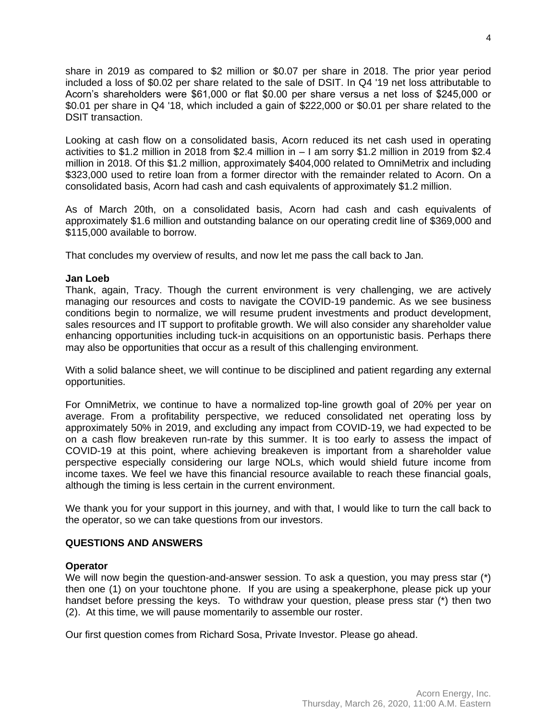share in 2019 as compared to \$2 million or \$0.07 per share in 2018. The prior year period included a loss of \$0.02 per share related to the sale of DSIT. In Q4 '19 net loss attributable to Acorn's shareholders were \$61,000 or flat \$0.00 per share versus a net loss of \$245,000 or \$0.01 per share in Q4 '18, which included a gain of \$222,000 or \$0.01 per share related to the DSIT transaction.

Looking at cash flow on a consolidated basis, Acorn reduced its net cash used in operating activities to \$1.2 million in 2018 from \$2.4 million in – I am sorry \$1.2 million in 2019 from \$2.4 million in 2018. Of this \$1.2 million, approximately \$404,000 related to OmniMetrix and including \$323,000 used to retire loan from a former director with the remainder related to Acorn. On a consolidated basis, Acorn had cash and cash equivalents of approximately \$1.2 million.

As of March 20th, on a consolidated basis, Acorn had cash and cash equivalents of approximately \$1.6 million and outstanding balance on our operating credit line of \$369,000 and \$115,000 available to borrow.

That concludes my overview of results, and now let me pass the call back to Jan.

### **Jan Loeb**

Thank, again, Tracy. Though the current environment is very challenging, we are actively managing our resources and costs to navigate the COVID-19 pandemic. As we see business conditions begin to normalize, we will resume prudent investments and product development, sales resources and IT support to profitable growth. We will also consider any shareholder value enhancing opportunities including tuck-in acquisitions on an opportunistic basis. Perhaps there may also be opportunities that occur as a result of this challenging environment.

With a solid balance sheet, we will continue to be disciplined and patient regarding any external opportunities.

For OmniMetrix, we continue to have a normalized top-line growth goal of 20% per year on average. From a profitability perspective, we reduced consolidated net operating loss by approximately 50% in 2019, and excluding any impact from COVID-19, we had expected to be on a cash flow breakeven run-rate by this summer. It is too early to assess the impact of COVID-19 at this point, where achieving breakeven is important from a shareholder value perspective especially considering our large NOLs, which would shield future income from income taxes. We feel we have this financial resource available to reach these financial goals, although the timing is less certain in the current environment.

We thank you for your support in this journey, and with that, I would like to turn the call back to the operator, so we can take questions from our investors.

# **QUESTIONS AND ANSWERS**

### **Operator**

We will now begin the question-and-answer session. To ask a question, you may press star (\*) then one (1) on your touchtone phone. If you are using a speakerphone, please pick up your handset before pressing the keys. To withdraw your question, please press star (\*) then two (2). At this time, we will pause momentarily to assemble our roster.

Our first question comes from Richard Sosa, Private Investor. Please go ahead.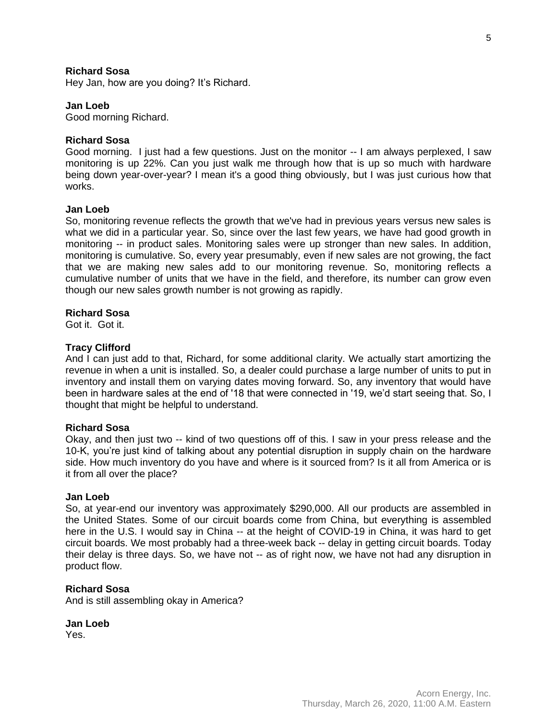# **Richard Sosa**

Hey Jan, how are you doing? It's Richard.

### **Jan Loeb**

Good morning Richard.

### **Richard Sosa**

Good morning. I just had a few questions. Just on the monitor -- I am always perplexed, I saw monitoring is up 22%. Can you just walk me through how that is up so much with hardware being down year-over-year? I mean it's a good thing obviously, but I was just curious how that works.

### **Jan Loeb**

So, monitoring revenue reflects the growth that we've had in previous years versus new sales is what we did in a particular year. So, since over the last few years, we have had good growth in monitoring -- in product sales. Monitoring sales were up stronger than new sales. In addition, monitoring is cumulative. So, every year presumably, even if new sales are not growing, the fact that we are making new sales add to our monitoring revenue. So, monitoring reflects a cumulative number of units that we have in the field, and therefore, its number can grow even though our new sales growth number is not growing as rapidly.

#### **Richard Sosa**

Got it. Got it.

#### **Tracy Clifford**

And I can just add to that, Richard, for some additional clarity. We actually start amortizing the revenue in when a unit is installed. So, a dealer could purchase a large number of units to put in inventory and install them on varying dates moving forward. So, any inventory that would have been in hardware sales at the end of '18 that were connected in '19, we'd start seeing that. So, I thought that might be helpful to understand.

### **Richard Sosa**

Okay, and then just two -- kind of two questions off of this. I saw in your press release and the 10-K, you're just kind of talking about any potential disruption in supply chain on the hardware side. How much inventory do you have and where is it sourced from? Is it all from America or is it from all over the place?

### **Jan Loeb**

So, at year-end our inventory was approximately \$290,000. All our products are assembled in the United States. Some of our circuit boards come from China, but everything is assembled here in the U.S. I would say in China -- at the height of COVID-19 in China, it was hard to get circuit boards. We most probably had a three-week back -- delay in getting circuit boards. Today their delay is three days. So, we have not -- as of right now, we have not had any disruption in product flow.

#### **Richard Sosa**

And is still assembling okay in America?

**Jan Loeb** Yes.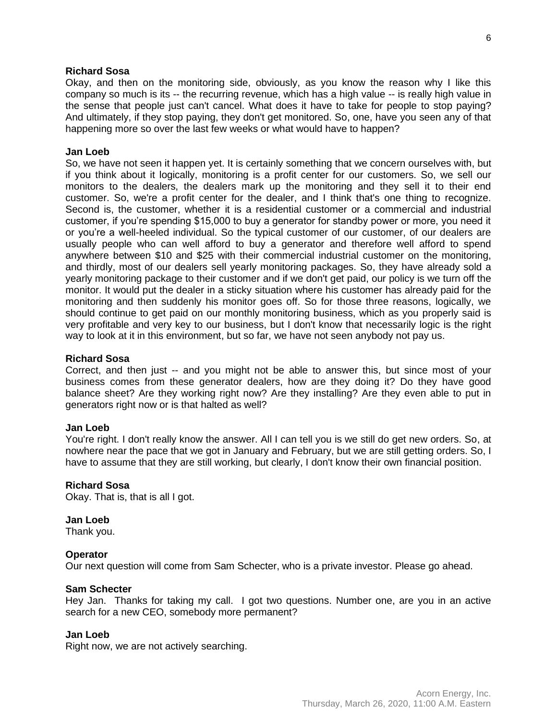### **Richard Sosa**

Okay, and then on the monitoring side, obviously, as you know the reason why I like this company so much is its -- the recurring revenue, which has a high value -- is really high value in the sense that people just can't cancel. What does it have to take for people to stop paying? And ultimately, if they stop paying, they don't get monitored. So, one, have you seen any of that happening more so over the last few weeks or what would have to happen?

#### **Jan Loeb**

So, we have not seen it happen yet. It is certainly something that we concern ourselves with, but if you think about it logically, monitoring is a profit center for our customers. So, we sell our monitors to the dealers, the dealers mark up the monitoring and they sell it to their end customer. So, we're a profit center for the dealer, and I think that's one thing to recognize. Second is, the customer, whether it is a residential customer or a commercial and industrial customer, if you're spending \$15,000 to buy a generator for standby power or more, you need it or you're a well-heeled individual. So the typical customer of our customer, of our dealers are usually people who can well afford to buy a generator and therefore well afford to spend anywhere between \$10 and \$25 with their commercial industrial customer on the monitoring, and thirdly, most of our dealers sell yearly monitoring packages. So, they have already sold a yearly monitoring package to their customer and if we don't get paid, our policy is we turn off the monitor. It would put the dealer in a sticky situation where his customer has already paid for the monitoring and then suddenly his monitor goes off. So for those three reasons, logically, we should continue to get paid on our monthly monitoring business, which as you properly said is very profitable and very key to our business, but I don't know that necessarily logic is the right way to look at it in this environment, but so far, we have not seen anybody not pay us.

#### **Richard Sosa**

Correct, and then just -- and you might not be able to answer this, but since most of your business comes from these generator dealers, how are they doing it? Do they have good balance sheet? Are they working right now? Are they installing? Are they even able to put in generators right now or is that halted as well?

### **Jan Loeb**

You're right. I don't really know the answer. All I can tell you is we still do get new orders. So, at nowhere near the pace that we got in January and February, but we are still getting orders. So, I have to assume that they are still working, but clearly, I don't know their own financial position.

### **Richard Sosa**

Okay. That is, that is all I got.

# **Jan Loeb**

Thank you.

### **Operator**

Our next question will come from Sam Schecter, who is a private investor. Please go ahead.

#### **Sam Schecter**

Hey Jan. Thanks for taking my call. I got two questions. Number one, are you in an active search for a new CEO, somebody more permanent?

### **Jan Loeb**

Right now, we are not actively searching.